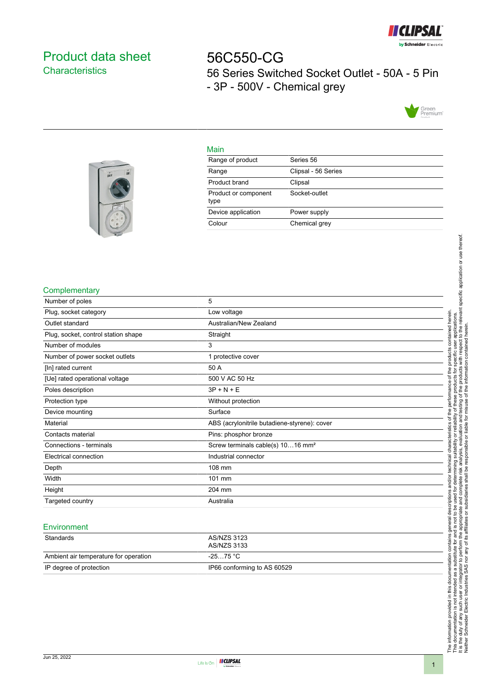

# <span id="page-0-0"></span>Product data sheet **Characteristics**

56C550-CG 56 Series Switched Socket Outlet - 50A - 5 Pin - 3P - 500V - Chemical grey



#### Main

| Range of product             | Series 56           |
|------------------------------|---------------------|
| Range                        | Clipsal - 56 Series |
| Product brand                | Clipsal             |
| Product or component<br>type | Socket-outlet       |
| Device application           | Power supply        |
| Colour                       | Chemical grey       |
|                              |                     |

### **Complementary**

| Number of poles                     | 5                                             |
|-------------------------------------|-----------------------------------------------|
| Plug, socket category               | Low voltage                                   |
| Outlet standard                     | Australian/New Zealand                        |
| Plug, socket, control station shape | Straight                                      |
| Number of modules                   | 3                                             |
| Number of power socket outlets      | 1 protective cover                            |
| [In] rated current                  | 50 A                                          |
| [Ue] rated operational voltage      | 500 V AC 50 Hz                                |
| Poles description                   | $3P + N + E$                                  |
| Protection type                     | Without protection                            |
| Device mounting                     | Surface                                       |
| Material                            | ABS (acrylonitrile butadiene-styrene): cover  |
| Contacts material                   | Pins: phosphor bronze                         |
| Connections - terminals             | Screw terminals cable(s) 1016 mm <sup>2</sup> |
| Electrical connection               | Industrial connector                          |
| Depth                               | 108 mm                                        |
| Width                               | 101 mm                                        |
| Height                              | 204 mm                                        |
| Targeted country                    | Australia                                     |

#### **Environment**

| Standards                             | AS/NZS 3123<br>AS/NZS 3133  |
|---------------------------------------|-----------------------------|
| Ambient air temperature for operation | -25…75 °C                   |
| IP degree of protection               | IP66 conforming to AS 60529 |